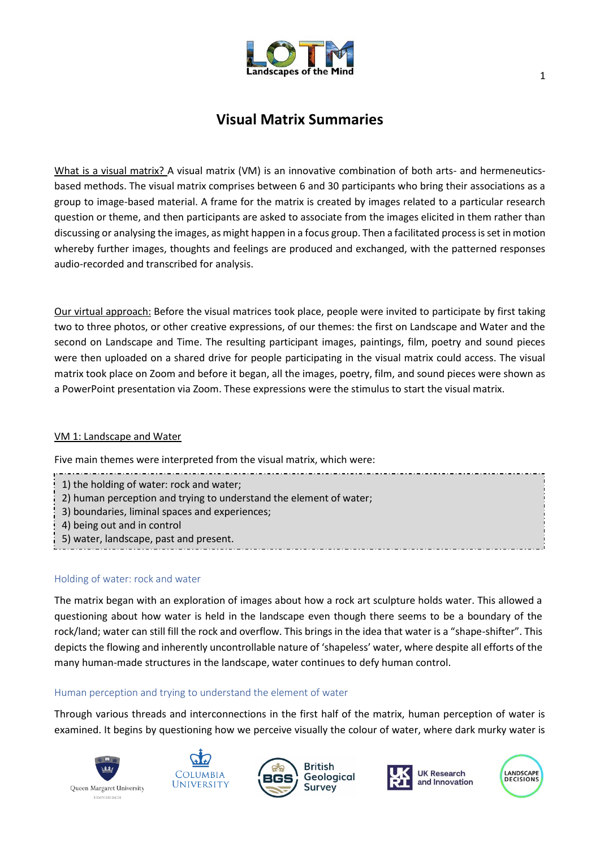

# **Visual Matrix Summaries**

What is a visual matrix? A visual matrix (VM) is an innovative combination of both arts- and hermeneuticsbased methods. The visual matrix comprises between 6 and 30 participants who bring their associations as a group to image-based material. A frame for the matrix is created by images related to a particular research question or theme, and then participants are asked to associate from the images elicited in them rather than discussing or analysing the images, as might happen in a focus group. Then a facilitated process is set in motion whereby further images, thoughts and feelings are produced and exchanged, with the patterned responses audio-recorded and transcribed for analysis.

Our virtual approach: Before the visual matrices took place, people were invited to participate by first taking two to three photos, or other creative expressions, of our themes: the first on Landscape and Water and the second on Landscape and Time. The resulting participant images, paintings, film, poetry and sound pieces were then uploaded on a shared drive for people participating in the visual matrix could access. The visual matrix took place on Zoom and before it began, all the images, poetry, film, and sound pieces were shown as a PowerPoint presentation via Zoom. These expressions were the stimulus to start the visual matrix.

# VM 1: Landscape and Water

Five main themes were interpreted from the visual matrix, which were:

- 1) the holding of water: rock and water;
- 2) human perception and trying to understand the element of water;
- 3) boundaries, liminal spaces and experiences;
- 4) being out and in control
- 5) water, landscape, past and present.

### Holding of water: rock and water

The matrix began with an exploration of images about how a rock art sculpture holds water. This allowed a questioning about how water is held in the landscape even though there seems to be a boundary of the rock/land; water can still fill the rock and overflow. This brings in the idea that water is a "shape-shifter". This depicts the flowing and inherently uncontrollable nature of 'shapeless' water, where despite all efforts of the many human-made structures in the landscape, water continues to defy human control.

### Human perception and trying to understand the element of water

Through various threads and interconnections in the first half of the matrix, human perception of water is examined. It begins by questioning how we perceive visually the colour of water, where dark murky water is









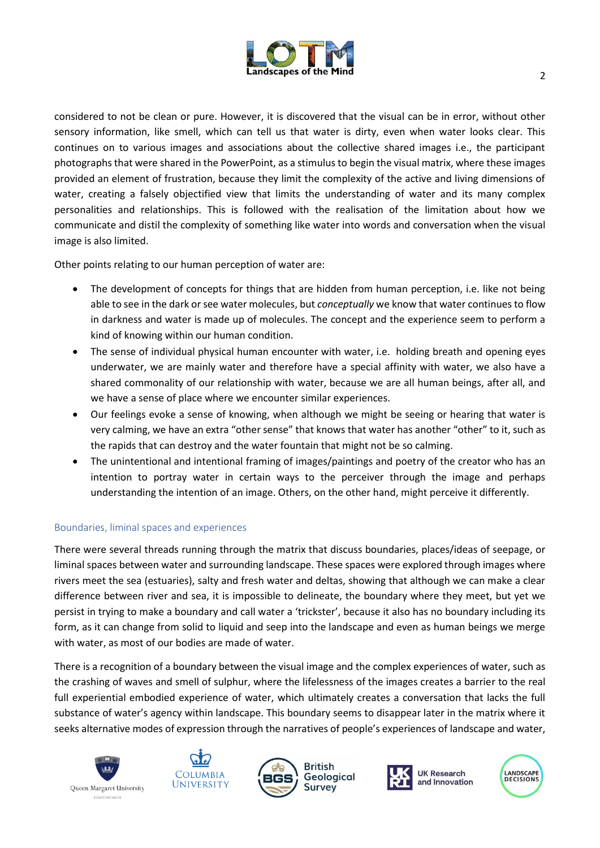

considered to not be clean or pure. However, it is discovered that the visual can be in error, without other sensory information, like smell, which can tell us that water is dirty, even when water looks clear. This continues on to various images and associations about the collective shared images i.e., the participant photographs that were shared in the PowerPoint, as a stimulus to begin the visual matrix, where these images provided an element of frustration, because they limit the complexity of the active and living dimensions of water, creating a falsely objectified view that limits the understanding of water and its many complex personalities and relationships. This is followed with the realisation of the limitation about how we communicate and distil the complexity of something like water into words and conversation when the visual image is also limited.

Other points relating to our human perception of water are:

- The development of concepts for things that are hidden from human perception, i.e. like not being able to see in the dark or see water molecules, but *conceptually* we know that water continues to flow in darkness and water is made up of molecules. The concept and the experience seem to perform a kind of knowing within our human condition.
- The sense of individual physical human encounter with water, i.e. holding breath and opening eyes underwater, we are mainly water and therefore have a special affinity with water, we also have a shared commonality of our relationship with water, because we are all human beings, after all, and we have a sense of place where we encounter similar experiences.
- Our feelings evoke a sense of knowing, when although we might be seeing or hearing that water is very calming, we have an extra "other sense" that knows that water has another "other" to it, such as the rapids that can destroy and the water fountain that might not be so calming.
- The unintentional and intentional framing of images/paintings and poetry of the creator who has an intention to portray water in certain ways to the perceiver through the image and perhaps understanding the intention of an image. Others, on the other hand, might perceive it differently.

# Boundaries, liminal spaces and experiences

There were several threads running through the matrix that discuss boundaries, places/ideas of seepage, or liminal spaces between water and surrounding landscape. These spaces were explored through images where rivers meet the sea (estuaries), salty and fresh water and deltas, showing that although we can make a clear difference between river and sea, it is impossible to delineate, the boundary where they meet, but yet we persist in trying to make a boundary and call water a 'trickster', because it also has no boundary including its form, as it can change from solid to liquid and seep into the landscape and even as human beings we merge with water, as most of our bodies are made of water.

There is a recognition of a boundary between the visual image and the complex experiences of water, such as the crashing of waves and smell of sulphur, where the lifelessness of the images creates a barrier to the real full experiential embodied experience of water, which ultimately creates a conversation that lacks the full substance of water's agency within landscape. This boundary seems to disappear later in the matrix where it seeks alternative modes of expression through the narratives of people's experiences of landscape and water,





**British** Geological Survey



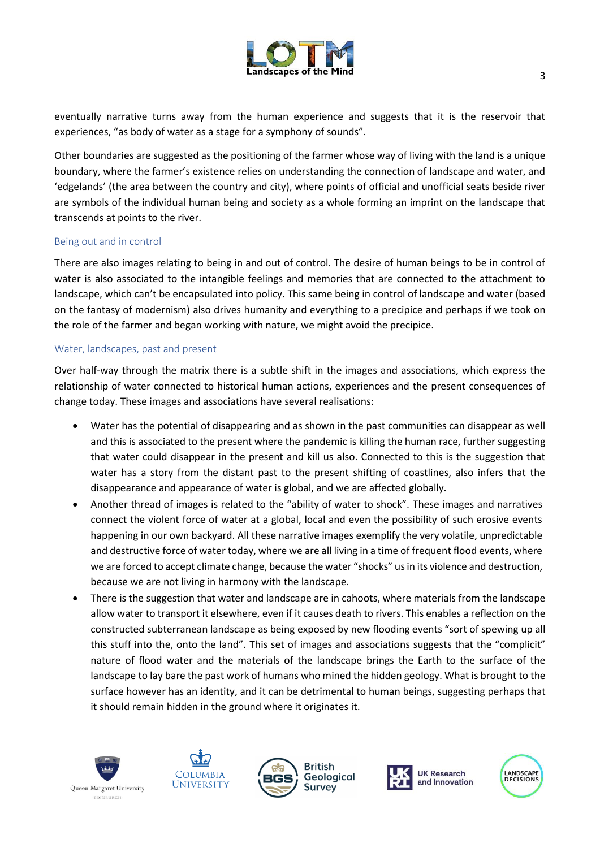

eventually narrative turns away from the human experience and suggests that it is the reservoir that experiences, "as body of water as a stage for a symphony of sounds".

Other boundaries are suggested as the positioning of the farmer whose way of living with the land is a unique boundary, where the farmer's existence relies on understanding the connection of landscape and water, and 'edgelands' (the area between the country and city), where points of official and unofficial seats beside river are symbols of the individual human being and society as a whole forming an imprint on the landscape that transcends at points to the river.

# Being out and in control

There are also images relating to being in and out of control. The desire of human beings to be in control of water is also associated to the intangible feelings and memories that are connected to the attachment to landscape, which can't be encapsulated into policy. This same being in control of landscape and water (based on the fantasy of modernism) also drives humanity and everything to a precipice and perhaps if we took on the role of the farmer and began working with nature, we might avoid the precipice.

# Water, landscapes, past and present

Over half-way through the matrix there is a subtle shift in the images and associations, which express the relationship of water connected to historical human actions, experiences and the present consequences of change today. These images and associations have several realisations:

- Water has the potential of disappearing and as shown in the past communities can disappear as well and this is associated to the present where the pandemic is killing the human race, further suggesting that water could disappear in the present and kill us also. Connected to this is the suggestion that water has a story from the distant past to the present shifting of coastlines, also infers that the disappearance and appearance of water is global, and we are affected globally.
- Another thread of images is related to the "ability of water to shock". These images and narratives connect the violent force of water at a global, local and even the possibility of such erosive events happening in our own backyard. All these narrative images exemplify the very volatile, unpredictable and destructive force of water today, where we are all living in a time of frequent flood events, where we are forced to accept climate change, because the water "shocks" us in its violence and destruction, because we are not living in harmony with the landscape.
- There is the suggestion that water and landscape are in cahoots, where materials from the landscape allow water to transport it elsewhere, even if it causes death to rivers. This enables a reflection on the constructed subterranean landscape as being exposed by new flooding events "sort of spewing up all this stuff into the, onto the land". This set of images and associations suggests that the "complicit" nature of flood water and the materials of the landscape brings the Earth to the surface of the landscape to lay bare the past work of humans who mined the hidden geology. What is brought to the surface however has an identity, and it can be detrimental to human beings, suggesting perhaps that it should remain hidden in the ground where it originates it.





**British** Geological Survey



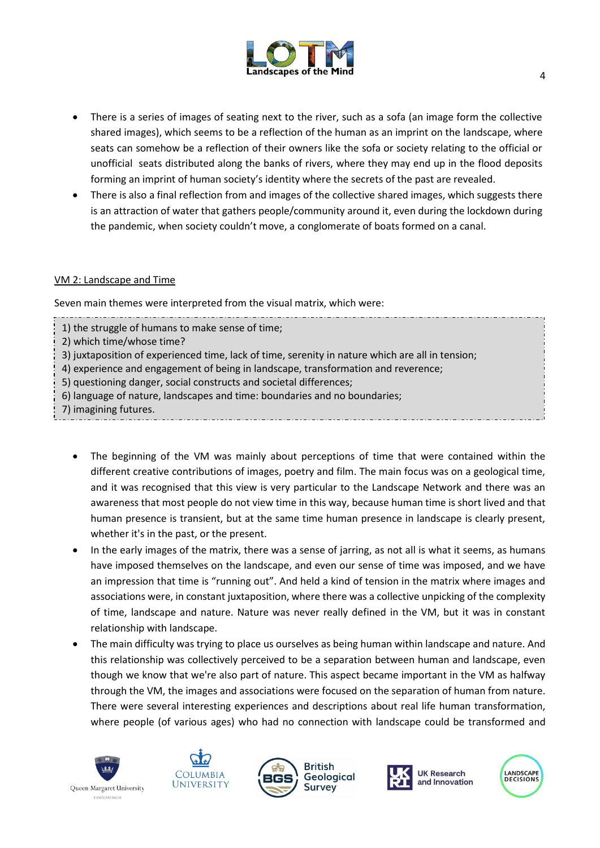

- There is a series of images of seating next to the river, such as a sofa (an image form the collective shared images), which seems to be a reflection of the human as an imprint on the landscape, where seats can somehow be a reflection of their owners like the sofa or society relating to the official or unofficial seats distributed along the banks of rivers, where they may end up in the flood deposits forming an imprint of human society's identity where the secrets of the past are revealed.
- There is also a final reflection from and images of the collective shared images, which suggests there is an attraction of water that gathers people/community around it, even during the lockdown during the pandemic, when society couldn't move, a conglomerate of boats formed on a canal.

# VM 2: Landscape and Time

Seven main themes were interpreted from the visual matrix, which were:

- 1) the struggle of humans to make sense of time;
- 2) which time/whose time?
- 3) juxtaposition of experienced time, lack of time, serenity in nature which are all in tension;
- 4) experience and engagement of being in landscape, transformation and reverence;
- 5) questioning danger, social constructs and societal differences;
- 6) language of nature, landscapes and time: boundaries and no boundaries;
- 7) imagining futures.
	- The beginning of the VM was mainly about perceptions of time that were contained within the different creative contributions of images, poetry and film. The main focus was on a geological time, and it was recognised that this view is very particular to the Landscape Network and there was an awareness that most people do not view time in this way, because human time is short lived and that human presence is transient, but at the same time human presence in landscape is clearly present, whether it's in the past, or the present.
	- In the early images of the matrix, there was a sense of jarring, as not all is what it seems, as humans have imposed themselves on the landscape, and even our sense of time was imposed, and we have an impression that time is "running out". And held a kind of tension in the matrix where images and associations were, in constant juxtaposition, where there was a collective unpicking of the complexity of time, landscape and nature. Nature was never really defined in the VM, but it was in constant relationship with landscape.
	- The main difficulty was trying to place us ourselves as being human within landscape and nature. And this relationship was collectively perceived to be a separation between human and landscape, even though we know that we're also part of nature. This aspect became important in the VM as halfway through the VM, the images and associations were focused on the separation of human from nature. There were several interesting experiences and descriptions about real life human transformation, where people (of various ages) who had no connection with landscape could be transformed and





**British** Geological Survey